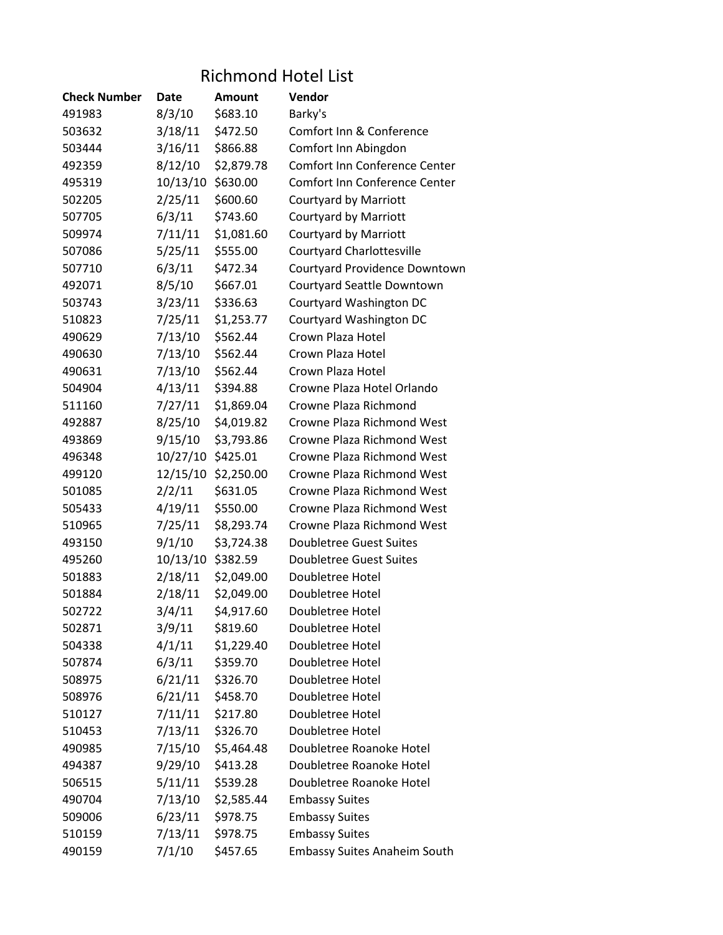## Richmond Hotel List

| <b>Check Number</b> | Date              | Amount     | Vendor                              |
|---------------------|-------------------|------------|-------------------------------------|
| 491983              | 8/3/10            | \$683.10   | Barky's                             |
| 503632              | 3/18/11           | \$472.50   | Comfort Inn & Conference            |
| 503444              | 3/16/11           | \$866.88   | Comfort Inn Abingdon                |
| 492359              | 8/12/10           | \$2,879.78 | Comfort Inn Conference Center       |
| 495319              | 10/13/10          | \$630.00   | Comfort Inn Conference Center       |
| 502205              | 2/25/11           | \$600.60   | <b>Courtyard by Marriott</b>        |
| 507705              | 6/3/11            | \$743.60   | <b>Courtyard by Marriott</b>        |
| 509974              | 7/11/11           | \$1,081.60 | <b>Courtyard by Marriott</b>        |
| 507086              | 5/25/11           | \$555.00   | <b>Courtyard Charlottesville</b>    |
| 507710              | 6/3/11            | \$472.34   | Courtyard Providence Downtown       |
| 492071              | 8/5/10            | \$667.01   | Courtyard Seattle Downtown          |
| 503743              | 3/23/11           | \$336.63   | Courtyard Washington DC             |
| 510823              | 7/25/11           | \$1,253.77 | Courtyard Washington DC             |
| 490629              | 7/13/10           | \$562.44   | Crown Plaza Hotel                   |
| 490630              | 7/13/10           | \$562.44   | Crown Plaza Hotel                   |
| 490631              | 7/13/10           | \$562.44   | Crown Plaza Hotel                   |
| 504904              | 4/13/11           | \$394.88   | Crowne Plaza Hotel Orlando          |
| 511160              | 7/27/11           | \$1,869.04 | Crowne Plaza Richmond               |
| 492887              | 8/25/10           | \$4,019.82 | Crowne Plaza Richmond West          |
| 493869              | 9/15/10           | \$3,793.86 | Crowne Plaza Richmond West          |
| 496348              | 10/27/10 \$425.01 |            | Crowne Plaza Richmond West          |
| 499120              | 12/15/10          | \$2,250.00 | Crowne Plaza Richmond West          |
| 501085              | 2/2/11            | \$631.05   | Crowne Plaza Richmond West          |
| 505433              | 4/19/11           | \$550.00   | Crowne Plaza Richmond West          |
| 510965              | 7/25/11           | \$8,293.74 | Crowne Plaza Richmond West          |
| 493150              | 9/1/10            | \$3,724.38 | <b>Doubletree Guest Suites</b>      |
| 495260              | 10/13/10          | \$382.59   | <b>Doubletree Guest Suites</b>      |
| 501883              | 2/18/11           | \$2,049.00 | Doubletree Hotel                    |
| 501884              | 2/18/11           | \$2,049.00 | Doubletree Hotel                    |
| 502722              | 3/4/11            | \$4,917.60 | Doubletree Hotel                    |
| 502871              | 3/9/11            | \$819.60   | Doubletree Hotel                    |
| 504338              | 4/1/11            | \$1,229.40 | Doubletree Hotel                    |
| 507874              | 6/3/11            | \$359.70   | Doubletree Hotel                    |
| 508975              | 6/21/11           | \$326.70   | Doubletree Hotel                    |
| 508976              | 6/21/11           | \$458.70   | Doubletree Hotel                    |
| 510127              | 7/11/11           | \$217.80   | Doubletree Hotel                    |
| 510453              | 7/13/11           | \$326.70   | Doubletree Hotel                    |
| 490985              | 7/15/10           | \$5,464.48 | Doubletree Roanoke Hotel            |
| 494387              | 9/29/10           | \$413.28   | Doubletree Roanoke Hotel            |
| 506515              | 5/11/11           | \$539.28   | Doubletree Roanoke Hotel            |
| 490704              | 7/13/10           | \$2,585.44 | <b>Embassy Suites</b>               |
| 509006              | 6/23/11           | \$978.75   | <b>Embassy Suites</b>               |
| 510159              | 7/13/11           | \$978.75   | <b>Embassy Suites</b>               |
| 490159              | 7/1/10            | \$457.65   | <b>Embassy Suites Anaheim South</b> |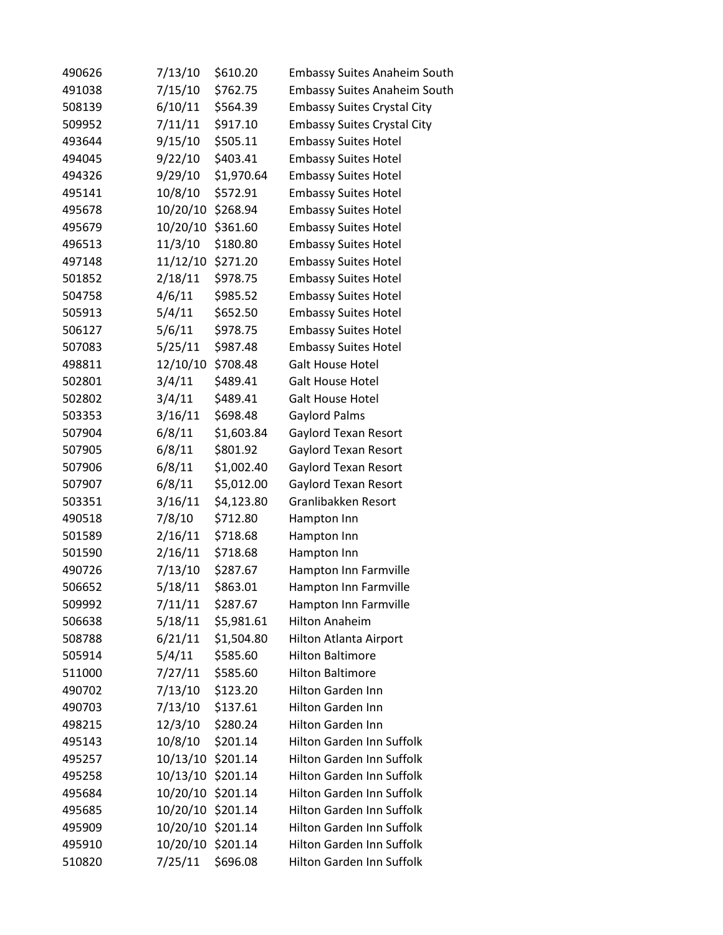| 490626 | 7/13/10  | \$610.20   | <b>Embassy Suites Anaheim South</b> |
|--------|----------|------------|-------------------------------------|
| 491038 | 7/15/10  | \$762.75   | <b>Embassy Suites Anaheim South</b> |
| 508139 | 6/10/11  | \$564.39   | <b>Embassy Suites Crystal City</b>  |
| 509952 | 7/11/11  | \$917.10   | <b>Embassy Suites Crystal City</b>  |
| 493644 | 9/15/10  | \$505.11   | <b>Embassy Suites Hotel</b>         |
| 494045 | 9/22/10  | \$403.41   | <b>Embassy Suites Hotel</b>         |
| 494326 | 9/29/10  | \$1,970.64 | <b>Embassy Suites Hotel</b>         |
| 495141 | 10/8/10  | \$572.91   | <b>Embassy Suites Hotel</b>         |
| 495678 | 10/20/10 | \$268.94   | <b>Embassy Suites Hotel</b>         |
| 495679 | 10/20/10 | \$361.60   | <b>Embassy Suites Hotel</b>         |
| 496513 | 11/3/10  | \$180.80   | <b>Embassy Suites Hotel</b>         |
| 497148 | 11/12/10 | \$271.20   | <b>Embassy Suites Hotel</b>         |
| 501852 | 2/18/11  | \$978.75   | <b>Embassy Suites Hotel</b>         |
| 504758 | 4/6/11   | \$985.52   | <b>Embassy Suites Hotel</b>         |
| 505913 | 5/4/11   | \$652.50   | <b>Embassy Suites Hotel</b>         |
| 506127 | 5/6/11   | \$978.75   | <b>Embassy Suites Hotel</b>         |
| 507083 | 5/25/11  | \$987.48   | <b>Embassy Suites Hotel</b>         |
| 498811 | 12/10/10 | \$708.48   | <b>Galt House Hotel</b>             |
| 502801 | 3/4/11   | \$489.41   | <b>Galt House Hotel</b>             |
| 502802 | 3/4/11   | \$489.41   | <b>Galt House Hotel</b>             |
| 503353 | 3/16/11  | \$698.48   | <b>Gaylord Palms</b>                |
| 507904 | 6/8/11   | \$1,603.84 | Gaylord Texan Resort                |
| 507905 | 6/8/11   | \$801.92   | Gaylord Texan Resort                |
| 507906 | 6/8/11   | \$1,002.40 | Gaylord Texan Resort                |
| 507907 | 6/8/11   | \$5,012.00 | Gaylord Texan Resort                |
| 503351 | 3/16/11  | \$4,123.80 | Granlibakken Resort                 |
| 490518 | 7/8/10   | \$712.80   | Hampton Inn                         |
| 501589 | 2/16/11  | \$718.68   | Hampton Inn                         |
| 501590 | 2/16/11  | \$718.68   | Hampton Inn                         |
| 490726 | 7/13/10  | \$287.67   | Hampton Inn Farmville               |
| 506652 | 5/18/11  | \$863.01   | Hampton Inn Farmville               |
| 509992 | 7/11/11  | \$287.67   | Hampton Inn Farmville               |
| 506638 | 5/18/11  | \$5,981.61 | <b>Hilton Anaheim</b>               |
| 508788 | 6/21/11  | \$1,504.80 | Hilton Atlanta Airport              |
| 505914 | 5/4/11   | \$585.60   | <b>Hilton Baltimore</b>             |
| 511000 | 7/27/11  | \$585.60   | <b>Hilton Baltimore</b>             |
| 490702 | 7/13/10  | \$123.20   | Hilton Garden Inn                   |
| 490703 | 7/13/10  | \$137.61   | <b>Hilton Garden Inn</b>            |
| 498215 | 12/3/10  | \$280.24   | Hilton Garden Inn                   |
| 495143 | 10/8/10  | \$201.14   | Hilton Garden Inn Suffolk           |
| 495257 | 10/13/10 | \$201.14   | Hilton Garden Inn Suffolk           |
| 495258 | 10/13/10 | \$201.14   | Hilton Garden Inn Suffolk           |
| 495684 | 10/20/10 | \$201.14   | Hilton Garden Inn Suffolk           |
| 495685 | 10/20/10 | \$201.14   | Hilton Garden Inn Suffolk           |
| 495909 | 10/20/10 | \$201.14   | Hilton Garden Inn Suffolk           |
| 495910 | 10/20/10 | \$201.14   | Hilton Garden Inn Suffolk           |
| 510820 | 7/25/11  | \$696.08   | Hilton Garden Inn Suffolk           |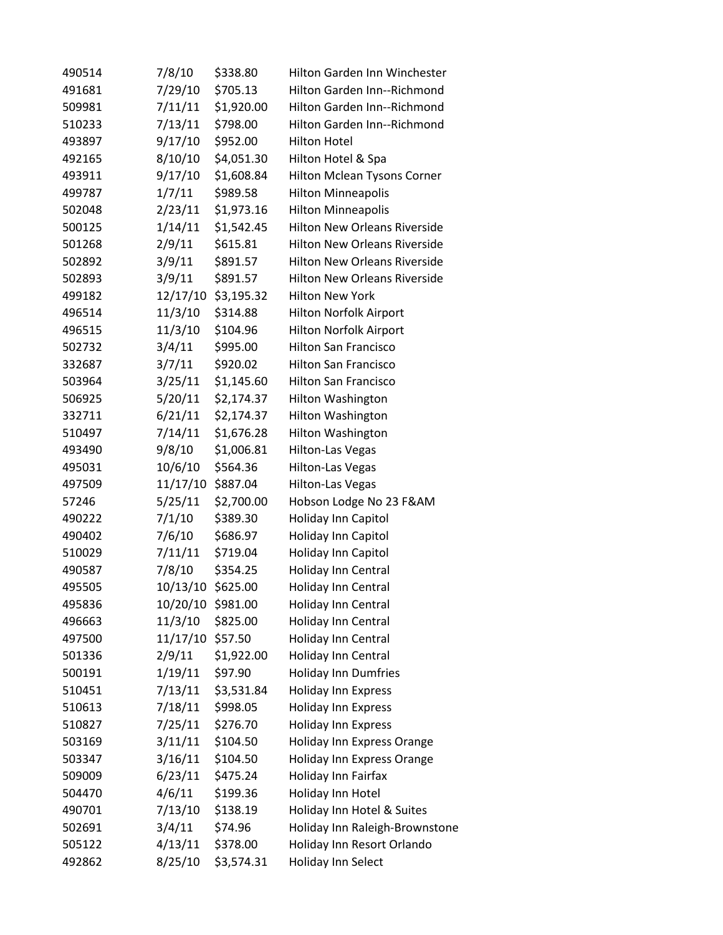| 490514 | 7/8/10   | \$338.80   | Hilton Garden Inn Winchester        |
|--------|----------|------------|-------------------------------------|
| 491681 | 7/29/10  | \$705.13   | Hilton Garden Inn--Richmond         |
| 509981 | 7/11/11  | \$1,920.00 | Hilton Garden Inn--Richmond         |
| 510233 | 7/13/11  | \$798.00   | Hilton Garden Inn--Richmond         |
| 493897 | 9/17/10  | \$952.00   | <b>Hilton Hotel</b>                 |
| 492165 | 8/10/10  | \$4,051.30 | Hilton Hotel & Spa                  |
| 493911 | 9/17/10  | \$1,608.84 | Hilton Mclean Tysons Corner         |
| 499787 | 1/7/11   | \$989.58   | <b>Hilton Minneapolis</b>           |
| 502048 | 2/23/11  | \$1,973.16 | <b>Hilton Minneapolis</b>           |
| 500125 | 1/14/11  | \$1,542.45 | <b>Hilton New Orleans Riverside</b> |
| 501268 | 2/9/11   | \$615.81   | <b>Hilton New Orleans Riverside</b> |
| 502892 | 3/9/11   | \$891.57   | <b>Hilton New Orleans Riverside</b> |
| 502893 | 3/9/11   | \$891.57   | <b>Hilton New Orleans Riverside</b> |
| 499182 | 12/17/10 | \$3,195.32 | <b>Hilton New York</b>              |
| 496514 | 11/3/10  | \$314.88   | Hilton Norfolk Airport              |
| 496515 | 11/3/10  | \$104.96   | Hilton Norfolk Airport              |
| 502732 | 3/4/11   | \$995.00   | <b>Hilton San Francisco</b>         |
| 332687 | 3/7/11   | \$920.02   | <b>Hilton San Francisco</b>         |
| 503964 | 3/25/11  | \$1,145.60 | <b>Hilton San Francisco</b>         |
| 506925 | 5/20/11  | \$2,174.37 | Hilton Washington                   |
| 332711 | 6/21/11  | \$2,174.37 | Hilton Washington                   |
| 510497 | 7/14/11  | \$1,676.28 | Hilton Washington                   |
| 493490 | 9/8/10   | \$1,006.81 | <b>Hilton-Las Vegas</b>             |
| 495031 | 10/6/10  | \$564.36   | <b>Hilton-Las Vegas</b>             |
| 497509 | 11/17/10 | \$887.04   | <b>Hilton-Las Vegas</b>             |
| 57246  | 5/25/11  | \$2,700.00 | Hobson Lodge No 23 F&AM             |
| 490222 | 7/1/10   | \$389.30   | Holiday Inn Capitol                 |
| 490402 | 7/6/10   | \$686.97   | Holiday Inn Capitol                 |
| 510029 | 7/11/11  | \$719.04   | Holiday Inn Capitol                 |
| 490587 | 7/8/10   | \$354.25   | Holiday Inn Central                 |
| 495505 | 10/13/10 | \$625.00   | Holiday Inn Central                 |
| 495836 | 10/20/10 | \$981.00   | Holiday Inn Central                 |
| 496663 | 11/3/10  | \$825.00   | Holiday Inn Central                 |
| 497500 | 11/17/10 | \$57.50    | Holiday Inn Central                 |
| 501336 | 2/9/11   | \$1,922.00 | Holiday Inn Central                 |
| 500191 | 1/19/11  | \$97.90    | <b>Holiday Inn Dumfries</b>         |
| 510451 | 7/13/11  | \$3,531.84 | <b>Holiday Inn Express</b>          |
| 510613 | 7/18/11  | \$998.05   | Holiday Inn Express                 |
| 510827 | 7/25/11  | \$276.70   | Holiday Inn Express                 |
| 503169 | 3/11/11  | \$104.50   | Holiday Inn Express Orange          |
| 503347 | 3/16/11  | \$104.50   | Holiday Inn Express Orange          |
| 509009 | 6/23/11  | \$475.24   | Holiday Inn Fairfax                 |
| 504470 | 4/6/11   | \$199.36   | Holiday Inn Hotel                   |
| 490701 | 7/13/10  | \$138.19   | Holiday Inn Hotel & Suites          |
| 502691 | 3/4/11   | \$74.96    | Holiday Inn Raleigh-Brownstone      |
| 505122 | 4/13/11  | \$378.00   | Holiday Inn Resort Orlando          |
| 492862 | 8/25/10  | \$3,574.31 | Holiday Inn Select                  |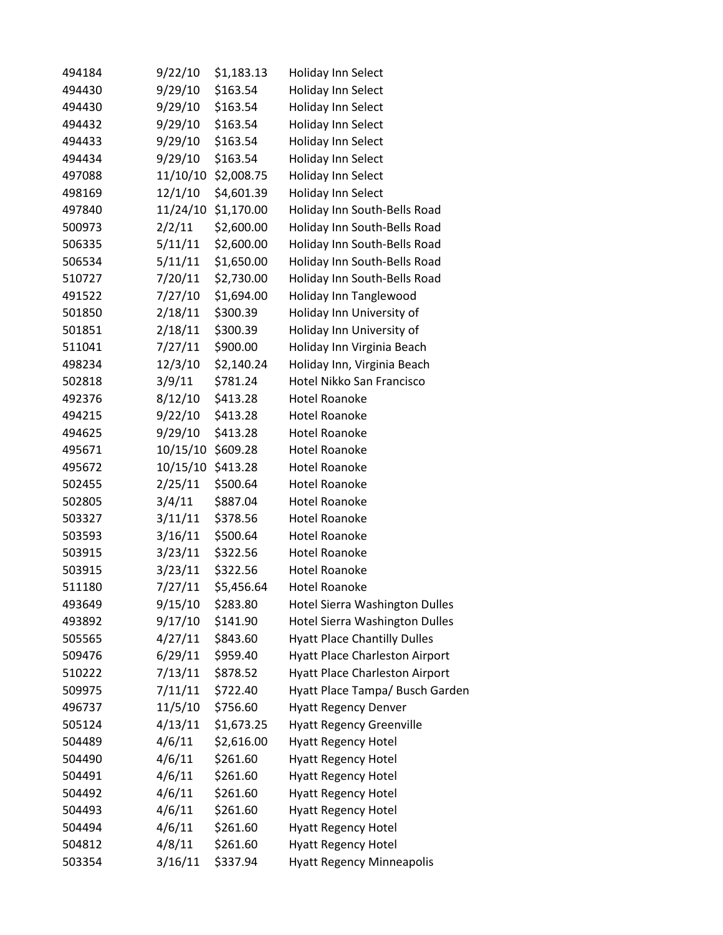| 494184 | 9/22/10  | \$1,183.13 | <b>Holiday Inn Select</b>             |
|--------|----------|------------|---------------------------------------|
| 494430 | 9/29/10  | \$163.54   | Holiday Inn Select                    |
| 494430 | 9/29/10  | \$163.54   | Holiday Inn Select                    |
| 494432 | 9/29/10  | \$163.54   | Holiday Inn Select                    |
| 494433 | 9/29/10  | \$163.54   | Holiday Inn Select                    |
| 494434 | 9/29/10  | \$163.54   | Holiday Inn Select                    |
| 497088 | 11/10/10 | \$2,008.75 | Holiday Inn Select                    |
| 498169 | 12/1/10  | \$4,601.39 | Holiday Inn Select                    |
| 497840 | 11/24/10 | \$1,170.00 | Holiday Inn South-Bells Road          |
| 500973 | 2/2/11   | \$2,600.00 | Holiday Inn South-Bells Road          |
| 506335 | 5/11/11  | \$2,600.00 | Holiday Inn South-Bells Road          |
| 506534 | 5/11/11  | \$1,650.00 | Holiday Inn South-Bells Road          |
| 510727 | 7/20/11  | \$2,730.00 | Holiday Inn South-Bells Road          |
| 491522 | 7/27/10  | \$1,694.00 | Holiday Inn Tanglewood                |
| 501850 | 2/18/11  | \$300.39   | Holiday Inn University of             |
| 501851 | 2/18/11  | \$300.39   | Holiday Inn University of             |
| 511041 | 7/27/11  | \$900.00   | Holiday Inn Virginia Beach            |
| 498234 | 12/3/10  | \$2,140.24 | Holiday Inn, Virginia Beach           |
| 502818 | 3/9/11   | \$781.24   | Hotel Nikko San Francisco             |
| 492376 | 8/12/10  | \$413.28   | <b>Hotel Roanoke</b>                  |
| 494215 | 9/22/10  | \$413.28   | <b>Hotel Roanoke</b>                  |
| 494625 | 9/29/10  | \$413.28   | <b>Hotel Roanoke</b>                  |
| 495671 | 10/15/10 | \$609.28   | <b>Hotel Roanoke</b>                  |
| 495672 | 10/15/10 | \$413.28   | <b>Hotel Roanoke</b>                  |
| 502455 | 2/25/11  | \$500.64   | <b>Hotel Roanoke</b>                  |
| 502805 | 3/4/11   | \$887.04   | <b>Hotel Roanoke</b>                  |
| 503327 | 3/11/11  | \$378.56   | <b>Hotel Roanoke</b>                  |
| 503593 | 3/16/11  | \$500.64   | <b>Hotel Roanoke</b>                  |
| 503915 | 3/23/11  | \$322.56   | <b>Hotel Roanoke</b>                  |
| 503915 | 3/23/11  | \$322.56   | <b>Hotel Roanoke</b>                  |
| 511180 | 7/27/11  | \$5,456.64 | <b>Hotel Roanoke</b>                  |
| 493649 | 9/15/10  | \$283.80   | Hotel Sierra Washington Dulles        |
| 493892 | 9/17/10  | \$141.90   | <b>Hotel Sierra Washington Dulles</b> |
| 505565 | 4/27/11  | \$843.60   | <b>Hyatt Place Chantilly Dulles</b>   |
| 509476 | 6/29/11  | \$959.40   | <b>Hyatt Place Charleston Airport</b> |
| 510222 | 7/13/11  | \$878.52   | <b>Hyatt Place Charleston Airport</b> |
| 509975 | 7/11/11  | \$722.40   | Hyatt Place Tampa/ Busch Garden       |
| 496737 | 11/5/10  | \$756.60   | <b>Hyatt Regency Denver</b>           |
| 505124 | 4/13/11  | \$1,673.25 | <b>Hyatt Regency Greenville</b>       |
| 504489 | 4/6/11   | \$2,616.00 | <b>Hyatt Regency Hotel</b>            |
| 504490 | 4/6/11   | \$261.60   | <b>Hyatt Regency Hotel</b>            |
| 504491 | 4/6/11   | \$261.60   | <b>Hyatt Regency Hotel</b>            |
| 504492 | 4/6/11   | \$261.60   | <b>Hyatt Regency Hotel</b>            |
| 504493 | 4/6/11   | \$261.60   | <b>Hyatt Regency Hotel</b>            |
| 504494 | 4/6/11   | \$261.60   | <b>Hyatt Regency Hotel</b>            |
| 504812 | 4/8/11   | \$261.60   | <b>Hyatt Regency Hotel</b>            |
| 503354 | 3/16/11  | \$337.94   | <b>Hyatt Regency Minneapolis</b>      |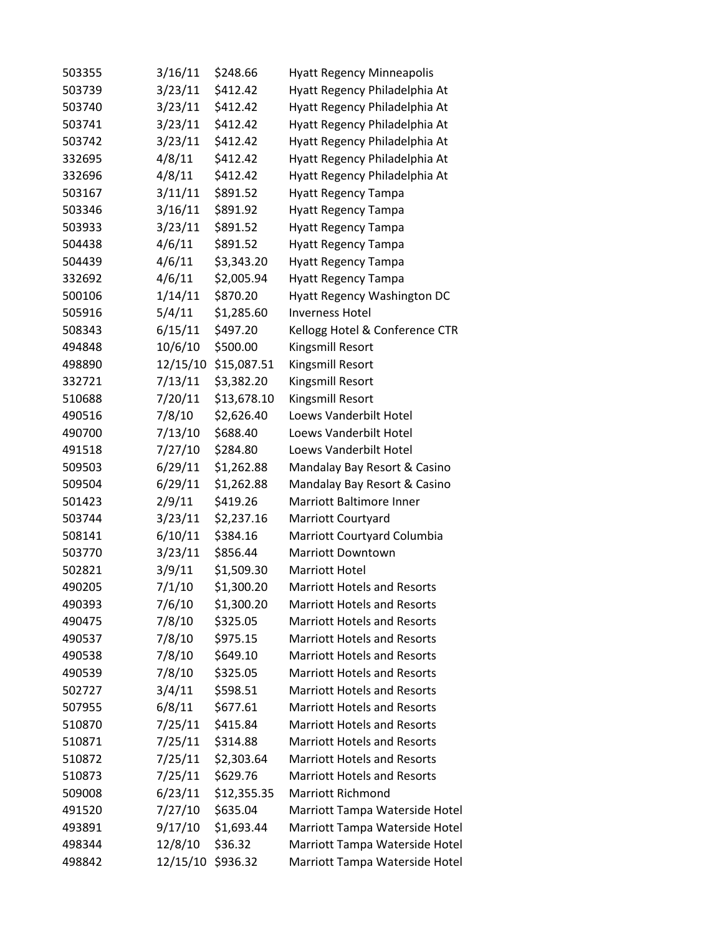| 503355 | 3/16/11  | \$248.66    | <b>Hyatt Regency Minneapolis</b>   |
|--------|----------|-------------|------------------------------------|
| 503739 | 3/23/11  | \$412.42    | Hyatt Regency Philadelphia At      |
| 503740 | 3/23/11  | \$412.42    | Hyatt Regency Philadelphia At      |
| 503741 | 3/23/11  | \$412.42    | Hyatt Regency Philadelphia At      |
| 503742 | 3/23/11  | \$412.42    | Hyatt Regency Philadelphia At      |
| 332695 | 4/8/11   | \$412.42    | Hyatt Regency Philadelphia At      |
| 332696 | 4/8/11   | \$412.42    | Hyatt Regency Philadelphia At      |
| 503167 | 3/11/11  | \$891.52    | <b>Hyatt Regency Tampa</b>         |
| 503346 | 3/16/11  | \$891.92    | <b>Hyatt Regency Tampa</b>         |
| 503933 | 3/23/11  | \$891.52    | <b>Hyatt Regency Tampa</b>         |
| 504438 | 4/6/11   | \$891.52    | Hyatt Regency Tampa                |
| 504439 | 4/6/11   | \$3,343.20  | <b>Hyatt Regency Tampa</b>         |
| 332692 | 4/6/11   | \$2,005.94  | Hyatt Regency Tampa                |
| 500106 | 1/14/11  | \$870.20    | Hyatt Regency Washington DC        |
| 505916 | 5/4/11   | \$1,285.60  | <b>Inverness Hotel</b>             |
| 508343 | 6/15/11  | \$497.20    | Kellogg Hotel & Conference CTR     |
| 494848 | 10/6/10  | \$500.00    | Kingsmill Resort                   |
| 498890 | 12/15/10 | \$15,087.51 | Kingsmill Resort                   |
| 332721 | 7/13/11  | \$3,382.20  | Kingsmill Resort                   |
| 510688 | 7/20/11  | \$13,678.10 | Kingsmill Resort                   |
| 490516 | 7/8/10   | \$2,626.40  | Loews Vanderbilt Hotel             |
| 490700 | 7/13/10  | \$688.40    | Loews Vanderbilt Hotel             |
| 491518 | 7/27/10  | \$284.80    | Loews Vanderbilt Hotel             |
| 509503 | 6/29/11  | \$1,262.88  | Mandalay Bay Resort & Casino       |
| 509504 | 6/29/11  | \$1,262.88  | Mandalay Bay Resort & Casino       |
| 501423 | 2/9/11   | \$419.26    | <b>Marriott Baltimore Inner</b>    |
| 503744 | 3/23/11  | \$2,237.16  | <b>Marriott Courtyard</b>          |
| 508141 | 6/10/11  | \$384.16    | Marriott Courtyard Columbia        |
| 503770 | 3/23/11  | \$856.44    | <b>Marriott Downtown</b>           |
| 502821 | 3/9/11   | \$1,509.30  | <b>Marriott Hotel</b>              |
| 490205 | 7/1/10   | \$1,300.20  | <b>Marriott Hotels and Resorts</b> |
| 490393 | 7/6/10   | \$1,300.20  | <b>Marriott Hotels and Resorts</b> |
| 490475 | 7/8/10   | \$325.05    | <b>Marriott Hotels and Resorts</b> |
| 490537 | 7/8/10   | \$975.15    | <b>Marriott Hotels and Resorts</b> |
| 490538 | 7/8/10   | \$649.10    | <b>Marriott Hotels and Resorts</b> |
| 490539 | 7/8/10   | \$325.05    | <b>Marriott Hotels and Resorts</b> |
| 502727 | 3/4/11   | \$598.51    | <b>Marriott Hotels and Resorts</b> |
| 507955 | 6/8/11   | \$677.61    | <b>Marriott Hotels and Resorts</b> |
| 510870 | 7/25/11  | \$415.84    | <b>Marriott Hotels and Resorts</b> |
| 510871 | 7/25/11  | \$314.88    | <b>Marriott Hotels and Resorts</b> |
| 510872 | 7/25/11  | \$2,303.64  | <b>Marriott Hotels and Resorts</b> |
| 510873 | 7/25/11  | \$629.76    | <b>Marriott Hotels and Resorts</b> |
| 509008 | 6/23/11  | \$12,355.35 | <b>Marriott Richmond</b>           |
| 491520 | 7/27/10  | \$635.04    | Marriott Tampa Waterside Hotel     |
| 493891 | 9/17/10  | \$1,693.44  | Marriott Tampa Waterside Hotel     |
| 498344 | 12/8/10  | \$36.32     | Marriott Tampa Waterside Hotel     |
| 498842 | 12/15/10 | \$936.32    | Marriott Tampa Waterside Hotel     |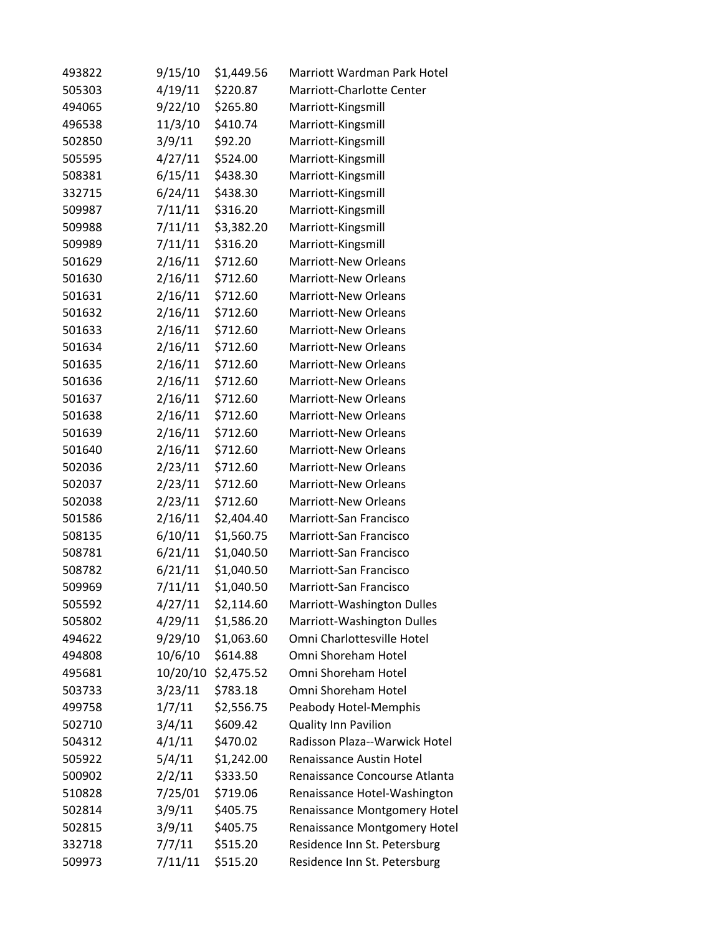| 493822 | 9/15/10  | \$1,449.56 | Marriott Wardman Park Hotel         |
|--------|----------|------------|-------------------------------------|
| 505303 | 4/19/11  | \$220.87   | Marriott-Charlotte Center           |
| 494065 | 9/22/10  | \$265.80   | Marriott-Kingsmill                  |
| 496538 | 11/3/10  | \$410.74   | Marriott-Kingsmill                  |
| 502850 | 3/9/11   | \$92.20    | Marriott-Kingsmill                  |
| 505595 | 4/27/11  | \$524.00   | Marriott-Kingsmill                  |
| 508381 | 6/15/11  | \$438.30   | Marriott-Kingsmill                  |
| 332715 | 6/24/11  | \$438.30   | Marriott-Kingsmill                  |
| 509987 | 7/11/11  | \$316.20   | Marriott-Kingsmill                  |
| 509988 | 7/11/11  | \$3,382.20 | Marriott-Kingsmill                  |
| 509989 | 7/11/11  | \$316.20   | Marriott-Kingsmill                  |
| 501629 | 2/16/11  | \$712.60   | <b>Marriott-New Orleans</b>         |
| 501630 | 2/16/11  | \$712.60   | <b>Marriott-New Orleans</b>         |
| 501631 | 2/16/11  | \$712.60   | <b>Marriott-New Orleans</b>         |
| 501632 | 2/16/11  | \$712.60   | <b>Marriott-New Orleans</b>         |
| 501633 | 2/16/11  | \$712.60   | <b>Marriott-New Orleans</b>         |
| 501634 | 2/16/11  | \$712.60   | <b>Marriott-New Orleans</b>         |
| 501635 | 2/16/11  | \$712.60   | <b>Marriott-New Orleans</b>         |
| 501636 | 2/16/11  | \$712.60   | <b>Marriott-New Orleans</b>         |
| 501637 | 2/16/11  | \$712.60   | <b>Marriott-New Orleans</b>         |
| 501638 | 2/16/11  | \$712.60   | <b>Marriott-New Orleans</b>         |
| 501639 | 2/16/11  | \$712.60   | <b>Marriott-New Orleans</b>         |
| 501640 | 2/16/11  | \$712.60   | <b>Marriott-New Orleans</b>         |
| 502036 | 2/23/11  | \$712.60   | <b>Marriott-New Orleans</b>         |
| 502037 | 2/23/11  | \$712.60   | <b>Marriott-New Orleans</b>         |
| 502038 | 2/23/11  | \$712.60   | <b>Marriott-New Orleans</b>         |
| 501586 | 2/16/11  | \$2,404.40 | Marriott-San Francisco              |
| 508135 | 6/10/11  | \$1,560.75 | Marriott-San Francisco              |
| 508781 | 6/21/11  | \$1,040.50 | Marriott-San Francisco              |
| 508782 | 6/21/11  | \$1,040.50 | Marriott-San Francisco              |
| 509969 | 7/11/11  | \$1,040.50 | Marriott-San Francisco              |
| 505592 | 4/27/11  | \$2,114.60 | Marriott-Washington Dulles          |
| 505802 | 4/29/11  | \$1,586.20 | Marriott-Washington Dulles          |
| 494622 | 9/29/10  | \$1,063.60 | Omni Charlottesville Hotel          |
| 494808 | 10/6/10  | \$614.88   | Omni Shoreham Hotel                 |
| 495681 | 10/20/10 | \$2,475.52 | Omni Shoreham Hotel                 |
| 503733 | 3/23/11  | \$783.18   | Omni Shoreham Hotel                 |
| 499758 | 1/7/11   | \$2,556.75 | Peabody Hotel-Memphis               |
| 502710 | 3/4/11   | \$609.42   | <b>Quality Inn Pavilion</b>         |
| 504312 | 4/1/11   | \$470.02   | Radisson Plaza--Warwick Hotel       |
| 505922 | 5/4/11   | \$1,242.00 | Renaissance Austin Hotel            |
| 500902 | 2/2/11   | \$333.50   | Renaissance Concourse Atlanta       |
| 510828 | 7/25/01  | \$719.06   | Renaissance Hotel-Washington        |
| 502814 | 3/9/11   | \$405.75   | <b>Renaissance Montgomery Hotel</b> |
| 502815 | 3/9/11   | \$405.75   | Renaissance Montgomery Hotel        |
| 332718 | 7/7/11   | \$515.20   | Residence Inn St. Petersburg        |
| 509973 | 7/11/11  | \$515.20   | Residence Inn St. Petersburg        |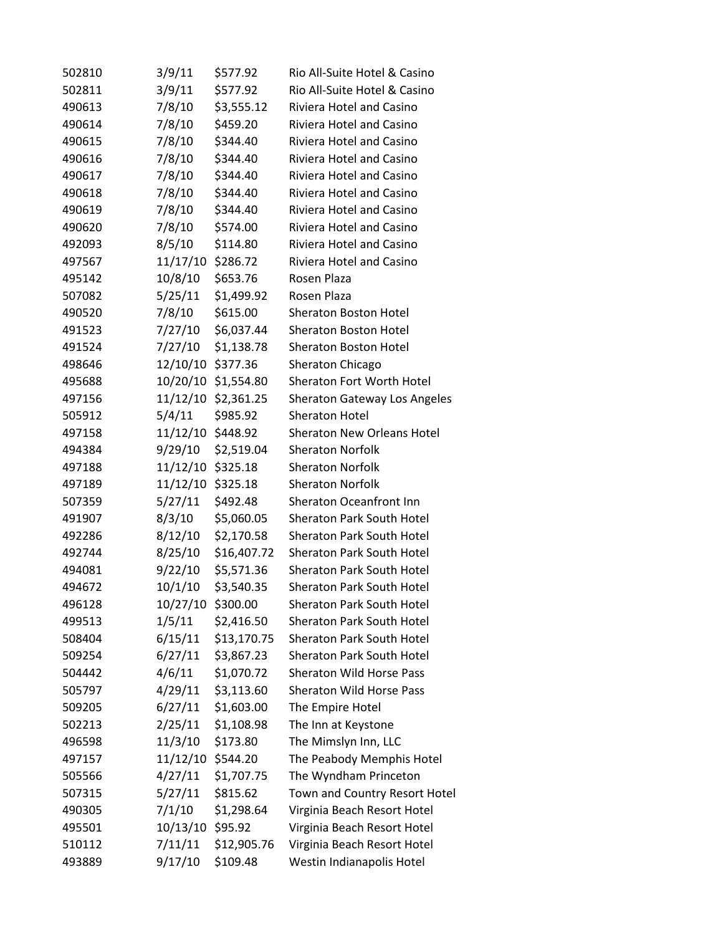| 502810 | 3/9/11            | \$577.92            | Rio All-Suite Hotel & Casino        |
|--------|-------------------|---------------------|-------------------------------------|
| 502811 | 3/9/11            | \$577.92            | Rio All-Suite Hotel & Casino        |
| 490613 | 7/8/10            | \$3,555.12          | Riviera Hotel and Casino            |
| 490614 | 7/8/10            | \$459.20            | Riviera Hotel and Casino            |
| 490615 | 7/8/10            | \$344.40            | Riviera Hotel and Casino            |
| 490616 | 7/8/10            | \$344.40            | Riviera Hotel and Casino            |
| 490617 | 7/8/10            | \$344.40            | <b>Riviera Hotel and Casino</b>     |
| 490618 | 7/8/10            | \$344.40            | Riviera Hotel and Casino            |
| 490619 | 7/8/10            | \$344.40            | <b>Riviera Hotel and Casino</b>     |
| 490620 | 7/8/10            | \$574.00            | Riviera Hotel and Casino            |
| 492093 | 8/5/10            | \$114.80            | Riviera Hotel and Casino            |
| 497567 | 11/17/10          | \$286.72            | Riviera Hotel and Casino            |
| 495142 | 10/8/10           | \$653.76            | Rosen Plaza                         |
| 507082 | 5/25/11           | \$1,499.92          | Rosen Plaza                         |
| 490520 | 7/8/10            | \$615.00            | <b>Sheraton Boston Hotel</b>        |
| 491523 | 7/27/10           | \$6,037.44          | <b>Sheraton Boston Hotel</b>        |
| 491524 | 7/27/10           | \$1,138.78          | <b>Sheraton Boston Hotel</b>        |
| 498646 | 12/10/10          | \$377.36            | Sheraton Chicago                    |
| 495688 |                   | 10/20/10 \$1,554.80 | Sheraton Fort Worth Hotel           |
| 497156 | 11/12/10          | \$2,361.25          | <b>Sheraton Gateway Los Angeles</b> |
| 505912 | 5/4/11            | \$985.92            | <b>Sheraton Hotel</b>               |
| 497158 | 11/12/10 \$448.92 |                     | <b>Sheraton New Orleans Hotel</b>   |
| 494384 | 9/29/10           | \$2,519.04          | <b>Sheraton Norfolk</b>             |
| 497188 | 11/12/10          | \$325.18            | <b>Sheraton Norfolk</b>             |
| 497189 | 11/12/10          | \$325.18            | <b>Sheraton Norfolk</b>             |
| 507359 | 5/27/11           | \$492.48            | Sheraton Oceanfront Inn             |
| 491907 | 8/3/10            | \$5,060.05          | <b>Sheraton Park South Hotel</b>    |
| 492286 | 8/12/10           | \$2,170.58          | <b>Sheraton Park South Hotel</b>    |
| 492744 | 8/25/10           | \$16,407.72         | <b>Sheraton Park South Hotel</b>    |
| 494081 | 9/22/10           | \$5,571.36          | Sheraton Park South Hotel           |
| 494672 | 10/1/10           | \$3,540.35          | Sheraton Park South Hotel           |
| 496128 | 10/27/10          | \$300.00            | <b>Sheraton Park South Hotel</b>    |
| 499513 | 1/5/11            | \$2,416.50          | <b>Sheraton Park South Hotel</b>    |
| 508404 | 6/15/11           | \$13,170.75         | Sheraton Park South Hotel           |
| 509254 | 6/27/11           | \$3,867.23          | <b>Sheraton Park South Hotel</b>    |
| 504442 | 4/6/11            | \$1,070.72          | Sheraton Wild Horse Pass            |
| 505797 | 4/29/11           | \$3,113.60          | Sheraton Wild Horse Pass            |
| 509205 | 6/27/11           | \$1,603.00          | The Empire Hotel                    |
| 502213 | 2/25/11           | \$1,108.98          | The Inn at Keystone                 |
| 496598 | 11/3/10           | \$173.80            | The Mimslyn Inn, LLC                |
| 497157 | 11/12/10          | \$544.20            | The Peabody Memphis Hotel           |
| 505566 | 4/27/11           | \$1,707.75          | The Wyndham Princeton               |
| 507315 | 5/27/11           | \$815.62            | Town and Country Resort Hotel       |
| 490305 | 7/1/10            | \$1,298.64          | Virginia Beach Resort Hotel         |
| 495501 | 10/13/10          | \$95.92             | Virginia Beach Resort Hotel         |
| 510112 | 7/11/11           | \$12,905.76         | Virginia Beach Resort Hotel         |
| 493889 | 9/17/10           | \$109.48            | Westin Indianapolis Hotel           |